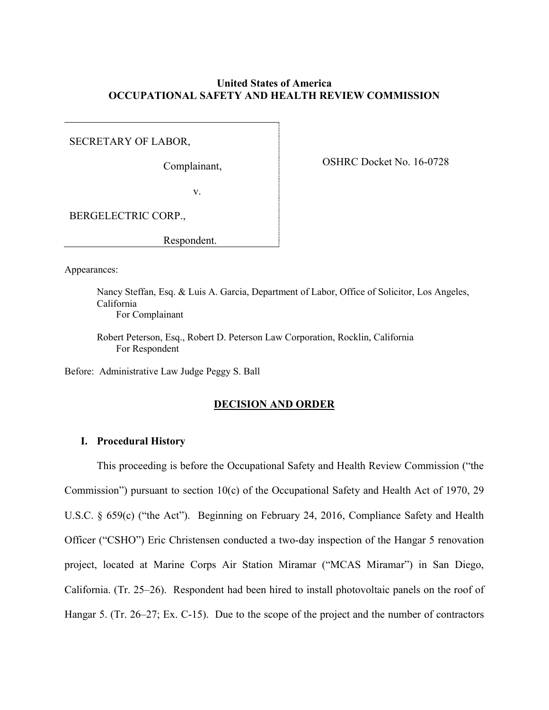## **United States of America OCCUPATIONAL SAFETY AND HEALTH REVIEW COMMISSION**

SECRETARY OF LABOR,

Complainant,

OSHRC Docket No. 16-0728

v.

BERGELECTRIC CORP.,

Respondent.

Appearances:

Nancy Steffan, Esq. & Luis A. Garcia, Department of Labor, Office of Solicitor, Los Angeles, California For Complainant

Robert Peterson, Esq., Robert D. Peterson Law Corporation, Rocklin, California For Respondent

Before: Administrative Law Judge Peggy S. Ball

## **DECISION AND ORDER**

## **I. Procedural History**

This proceeding is before the Occupational Safety and Health Review Commission ("the Commission") pursuant to section 10(c) of the Occupational Safety and Health Act of 1970, 29 U.S.C. § 659(c) ("the Act"). Beginning on February 24, 2016, Compliance Safety and Health Officer ("CSHO") Eric Christensen conducted a two-day inspection of the Hangar 5 renovation project, located at Marine Corps Air Station Miramar ("MCAS Miramar") in San Diego, California. (Tr. 25–26). Respondent had been hired to install photovoltaic panels on the roof of Hangar 5. (Tr. 26–27; Ex. C-15). Due to the scope of the project and the number of contractors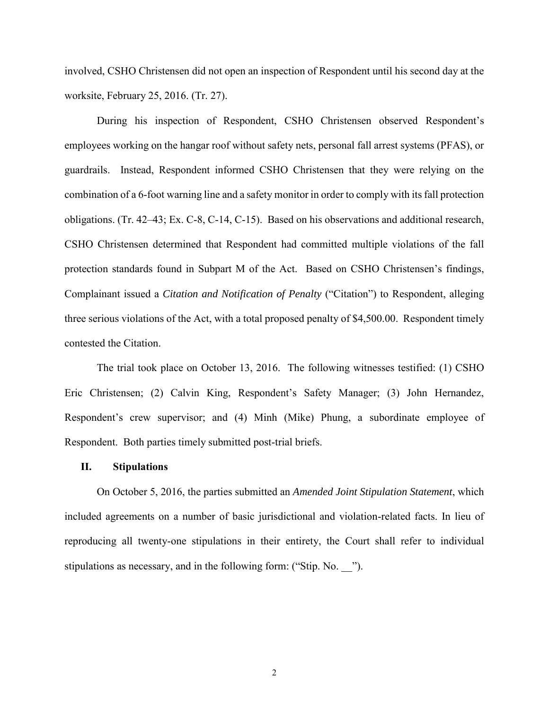involved, CSHO Christensen did not open an inspection of Respondent until his second day at the worksite, February 25, 2016. (Tr. 27).

During his inspection of Respondent, CSHO Christensen observed Respondent's employees working on the hangar roof without safety nets, personal fall arrest systems (PFAS), or guardrails. Instead, Respondent informed CSHO Christensen that they were relying on the combination of a 6-foot warning line and a safety monitor in order to comply with its fall protection obligations. (Tr. 42–43; Ex. C-8, C-14, C-15). Based on his observations and additional research, CSHO Christensen determined that Respondent had committed multiple violations of the fall protection standards found in Subpart M of the Act. Based on CSHO Christensen's findings, Complainant issued a *Citation and Notification of Penalty* ("Citation") to Respondent, alleging three serious violations of the Act, with a total proposed penalty of \$4,500.00. Respondent timely contested the Citation.

The trial took place on October 13, 2016. The following witnesses testified: (1) CSHO Eric Christensen; (2) Calvin King, Respondent's Safety Manager; (3) John Hernandez, Respondent's crew supervisor; and (4) Minh (Mike) Phung, a subordinate employee of Respondent. Both parties timely submitted post-trial briefs.

#### **II. Stipulations**

On October 5, 2016, the parties submitted an *Amended Joint Stipulation Statement*, which included agreements on a number of basic jurisdictional and violation-related facts. In lieu of reproducing all twenty-one stipulations in their entirety, the Court shall refer to individual stipulations as necessary, and in the following form: ("Stip. No. \_\_\_").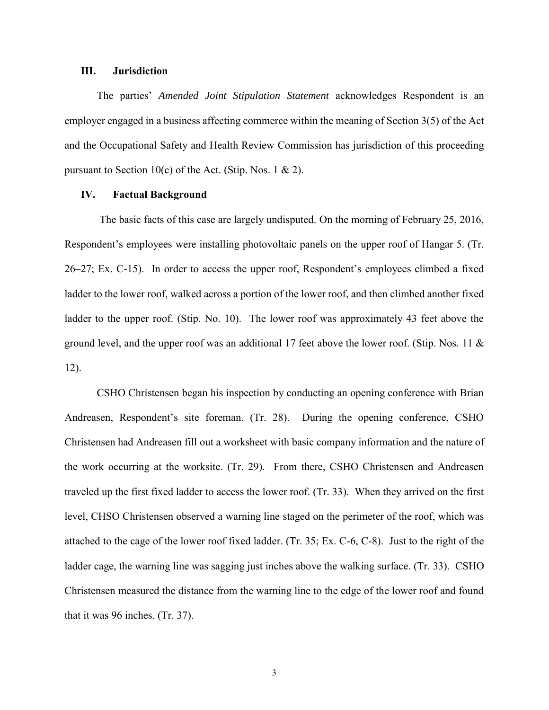#### **III. Jurisdiction**

The parties' *Amended Joint Stipulation Statement* acknowledges Respondent is an employer engaged in a business affecting commerce within the meaning of Section 3(5) of the Act and the Occupational Safety and Health Review Commission has jurisdiction of this proceeding pursuant to Section 10(c) of the Act. (Stip. Nos. 1  $\&$  2).

## **IV. Factual Background**

The basic facts of this case are largely undisputed. On the morning of February 25, 2016, Respondent's employees were installing photovoltaic panels on the upper roof of Hangar 5. (Tr. 26–27; Ex. C-15). In order to access the upper roof, Respondent's employees climbed a fixed ladder to the lower roof, walked across a portion of the lower roof, and then climbed another fixed ladder to the upper roof. (Stip. No. 10). The lower roof was approximately 43 feet above the ground level, and the upper roof was an additional 17 feet above the lower roof. (Stip. Nos. 11 & 12).

CSHO Christensen began his inspection by conducting an opening conference with Brian Andreasen, Respondent's site foreman. (Tr. 28). During the opening conference, CSHO Christensen had Andreasen fill out a worksheet with basic company information and the nature of the work occurring at the worksite. (Tr. 29). From there, CSHO Christensen and Andreasen traveled up the first fixed ladder to access the lower roof. (Tr. 33). When they arrived on the first level, CHSO Christensen observed a warning line staged on the perimeter of the roof, which was attached to the cage of the lower roof fixed ladder. (Tr. 35; Ex. C-6, C-8). Just to the right of the ladder cage, the warning line was sagging just inches above the walking surface. (Tr. 33). CSHO Christensen measured the distance from the warning line to the edge of the lower roof and found that it was 96 inches. (Tr. 37).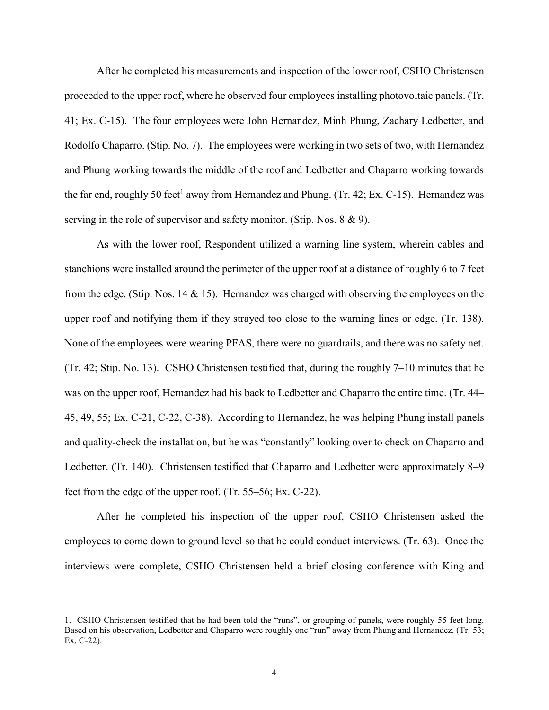After he completed his measurements and inspection of the lower roof, CSHO Christensen proceeded to the upper roof, where he observed four employees installing photovoltaic panels. (Tr. 41; Ex. C-15). The four employees were John Hernandez, Minh Phung, Zachary Ledbetter, and Rodolfo Chaparro. (Stip. No. 7). The employees were working in two sets of two, with Hernandez and Phung working towards the middle of the roof and Ledbetter and Chaparro working towards the far end, roughly 50 feet<sup>1</sup> away from Hernandez and Phung. (Tr. 42; Ex. C-15). Hernandez was serving in the role of supervisor and safety monitor. (Stip. Nos. 8 & 9).

As with the lower roof, Respondent utilized a warning line system, wherein cables and stanchions were installed around the perimeter of the upper roof at a distance of roughly 6 to 7 feet from the edge. (Stip. Nos. 14  $\&$  15). Hernandez was charged with observing the employees on the upper roof and notifying them if they strayed too close to the warning lines or edge. (Tr. 138). None of the employees were wearing PFAS, there were no guardrails, and there was no safety net. (Tr. 42; Stip. No. 13). CSHO Christensen testified that, during the roughly 7–10 minutes that he was on the upper roof, Hernandez had his back to Ledbetter and Chaparro the entire time. (Tr. 44– 45, 49, 55; Ex. C-21, C-22, C-38). According to Hernandez, he was helping Phung install panels and quality-check the installation, but he was "constantly" looking over to check on Chaparro and Ledbetter. (Tr. 140). Christensen testified that Chaparro and Ledbetter were approximately 8–9 feet from the edge of the upper roof. (Tr. 55–56; Ex. C-22).

After he completed his inspection of the upper roof, CSHO Christensen asked the employees to come down to ground level so that he could conduct interviews. (Tr. 63). Once the interviews were complete, CSHO Christensen held a brief closing conference with King and

<sup>1.</sup> CSHO Christensen testified that he had been told the "runs", or grouping of panels, were roughly 55 feet long. Based on his observation, Ledbetter and Chaparro were roughly one "run" away from Phung and Hernandez. (Tr. 53; Ex. C-22).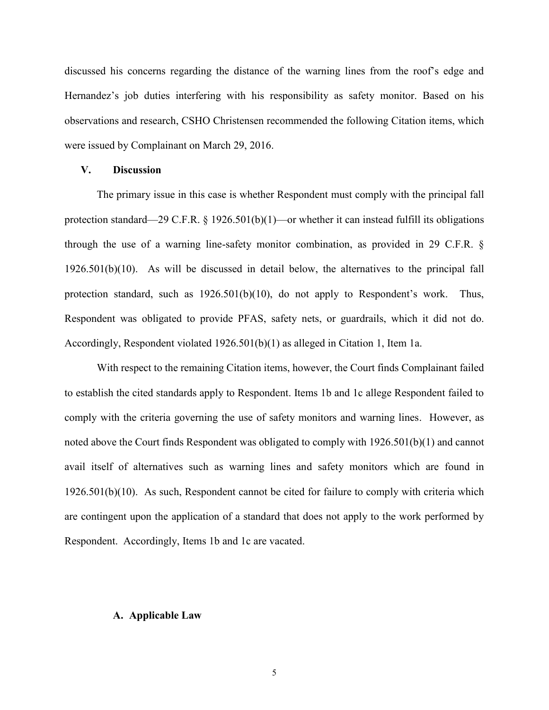discussed his concerns regarding the distance of the warning lines from the roof's edge and Hernandez's job duties interfering with his responsibility as safety monitor. Based on his observations and research, CSHO Christensen recommended the following Citation items, which were issued by Complainant on March 29, 2016.

## **V. Discussion**

The primary issue in this case is whether Respondent must comply with the principal fall protection standard—29 C.F.R.  $\S$  1926.501(b)(1)—or whether it can instead fulfill its obligations through the use of a warning line-safety monitor combination, as provided in 29 C.F.R. § 1926.501(b)(10). As will be discussed in detail below, the alternatives to the principal fall protection standard, such as 1926.501(b)(10), do not apply to Respondent's work. Thus, Respondent was obligated to provide PFAS, safety nets, or guardrails, which it did not do. Accordingly, Respondent violated 1926.501(b)(1) as alleged in Citation 1, Item 1a.

With respect to the remaining Citation items, however, the Court finds Complainant failed to establish the cited standards apply to Respondent. Items 1b and 1c allege Respondent failed to comply with the criteria governing the use of safety monitors and warning lines. However, as noted above the Court finds Respondent was obligated to comply with 1926.501(b)(1) and cannot avail itself of alternatives such as warning lines and safety monitors which are found in 1926.501(b)(10). As such, Respondent cannot be cited for failure to comply with criteria which are contingent upon the application of a standard that does not apply to the work performed by Respondent. Accordingly, Items 1b and 1c are vacated.

#### **A. Applicable Law**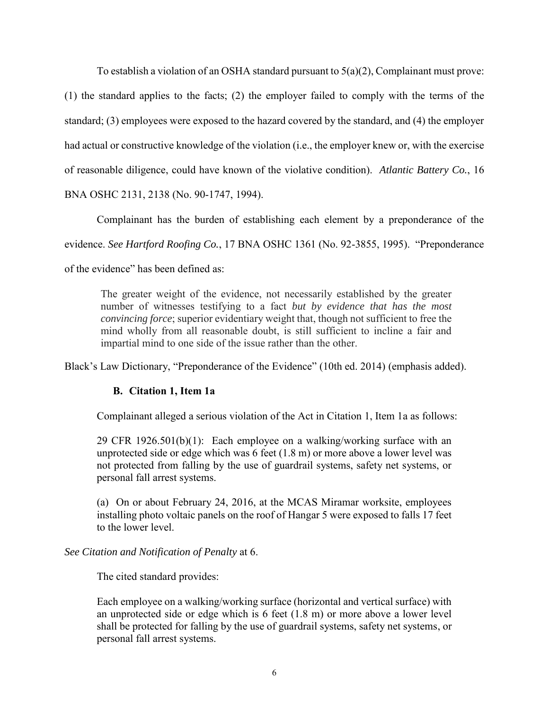To establish a violation of an OSHA standard pursuant to 5(a)(2), Complainant must prove:

(1) the standard applies to the facts; (2) the employer failed to comply with the terms of the standard; (3) employees were exposed to the hazard covered by the standard, and (4) the employer had actual or constructive knowledge of the violation (i.e., the employer knew or, with the exercise of reasonable diligence, could have known of the violative condition). *Atlantic Battery Co.*, 16

BNA OSHC 2131, 2138 (No. 90-1747, 1994).

Complainant has the burden of establishing each element by a preponderance of the

evidence. *See Hartford Roofing Co.*, 17 BNA OSHC 1361 (No. 92-3855, 1995). "Preponderance

of the evidence" has been defined as:

The greater weight of the evidence, not necessarily established by the greater number of witnesses testifying to a fact *but by evidence that has the most convincing force*; superior evidentiary weight that, though not sufficient to free the mind wholly from all reasonable doubt, is still sufficient to incline a fair and impartial mind to one side of the issue rather than the other.

Black's Law Dictionary, "Preponderance of the Evidence" (10th ed. 2014) (emphasis added).

# **B. Citation 1, Item 1a**

Complainant alleged a serious violation of the Act in Citation 1, Item 1a as follows:

29 CFR 1926.501(b)(1): Each employee on a walking/working surface with an unprotected side or edge which was 6 feet (1.8 m) or more above a lower level was not protected from falling by the use of guardrail systems, safety net systems, or personal fall arrest systems.

(a) On or about February 24, 2016, at the MCAS Miramar worksite, employees installing photo voltaic panels on the roof of Hangar 5 were exposed to falls 17 feet to the lower level.

## *See Citation and Notification of Penalty* at 6.

The cited standard provides:

Each employee on a walking/working surface (horizontal and vertical surface) with an unprotected side or edge which is 6 feet (1.8 m) or more above a lower level shall be protected for falling by the use of guardrail systems, safety net systems, or personal fall arrest systems.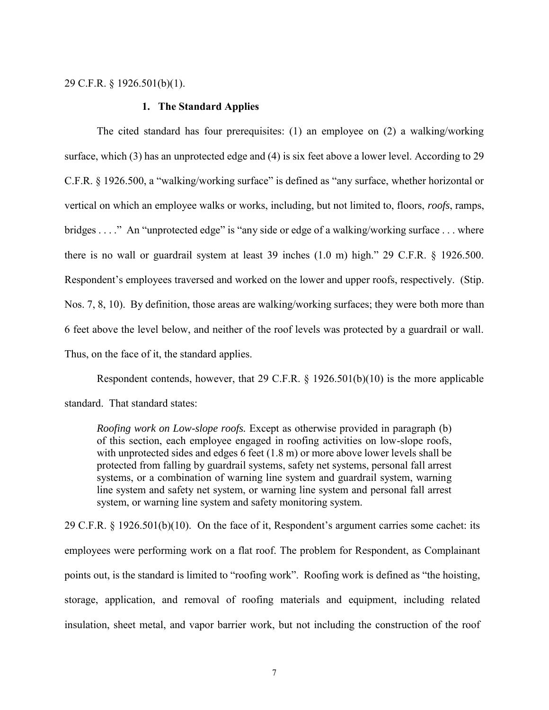29 C.F.R. § 1926.501(b)(1).

#### **1. The Standard Applies**

The cited standard has four prerequisites: (1) an employee on (2) a walking/working surface, which (3) has an unprotected edge and (4) is six feet above a lower level. According to 29 C.F.R. § 1926.500, a "walking/working surface" is defined as "any surface, whether horizontal or vertical on which an employee walks or works, including, but not limited to, floors, *roofs*, ramps, bridges . . . ." An "unprotected edge" is "any side or edge of a walking/working surface . . . where there is no wall or guardrail system at least 39 inches (1.0 m) high." 29 C.F.R. § 1926.500. Respondent's employees traversed and worked on the lower and upper roofs, respectively. (Stip. Nos. 7, 8, 10). By definition, those areas are walking/working surfaces; they were both more than 6 feet above the level below, and neither of the roof levels was protected by a guardrail or wall. Thus, on the face of it, the standard applies.

Respondent contends, however, that 29 C.F.R. § 1926.501(b)(10) is the more applicable standard. That standard states:

*Roofing work on Low-slope roofs.* Except as otherwise provided in paragraph (b) of this section, each employee engaged in roofing activities on low-slope roofs, with unprotected sides and edges 6 feet  $(1.8 \text{ m})$  or more above lower levels shall be protected from falling by guardrail systems, safety net systems, personal fall arrest systems, or a combination of warning line system and guardrail system, warning line system and safety net system, or warning line system and personal fall arrest system, or warning line system and safety monitoring system.

29 C.F.R. § 1926.501(b)(10). On the face of it, Respondent's argument carries some cachet: its employees were performing work on a flat roof. The problem for Respondent, as Complainant points out, is the standard is limited to "roofing work". Roofing work is defined as "the hoisting, storage, application, and removal of roofing materials and equipment, including related insulation, sheet metal, and vapor barrier work, but not including the construction of the roof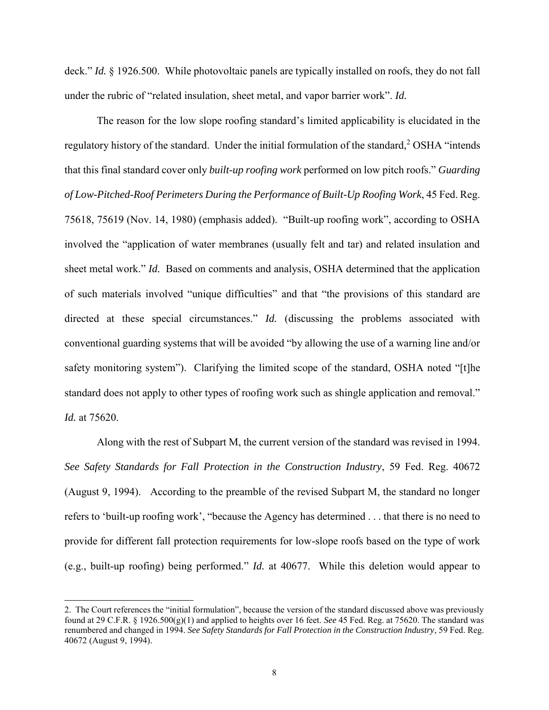deck." *Id.* § 1926.500. While photovoltaic panels are typically installed on roofs, they do not fall under the rubric of "related insulation, sheet metal, and vapor barrier work". *Id.*

The reason for the low slope roofing standard's limited applicability is elucidated in the regulatory history of the standard. Under the initial formulation of the standard,<sup>2</sup> OSHA "intends that this final standard cover only *built-up roofing work* performed on low pitch roofs." *Guarding of Low-Pitched-Roof Perimeters During the Performance of Built-Up Roofing Work*, 45 Fed. Reg. 75618, 75619 (Nov. 14, 1980) (emphasis added). "Built-up roofing work", according to OSHA involved the "application of water membranes (usually felt and tar) and related insulation and sheet metal work." *Id.* Based on comments and analysis, OSHA determined that the application of such materials involved "unique difficulties" and that "the provisions of this standard are directed at these special circumstances." *Id.* (discussing the problems associated with conventional guarding systems that will be avoided "by allowing the use of a warning line and/or safety monitoring system"). Clarifying the limited scope of the standard, OSHA noted "[t]he standard does not apply to other types of roofing work such as shingle application and removal." *Id.* at 75620.

Along with the rest of Subpart M, the current version of the standard was revised in 1994. *See Safety Standards for Fall Protection in the Construction Industry*, 59 Fed. Reg. 40672 (August 9, 1994). According to the preamble of the revised Subpart M, the standard no longer refers to 'built-up roofing work', "because the Agency has determined . . . that there is no need to provide for different fall protection requirements for low-slope roofs based on the type of work (e.g., built-up roofing) being performed." *Id.* at 40677. While this deletion would appear to

<sup>2.</sup> The Court references the "initial formulation", because the version of the standard discussed above was previously found at 29 C.F.R. § 1926.500(g)(1) and applied to heights over 16 feet. *See* 45 Fed. Reg. at 75620. The standard was renumbered and changed in 1994. *See Safety Standards for Fall Protection in the Construction Industry*, 59 Fed. Reg. 40672 (August 9, 1994).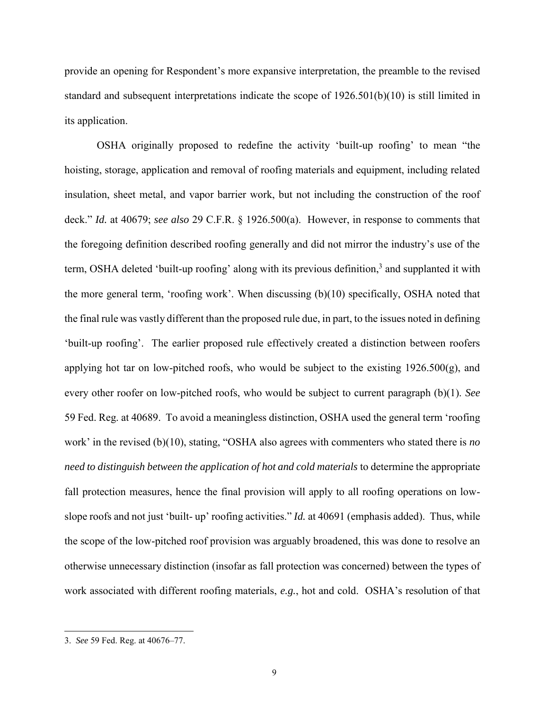provide an opening for Respondent's more expansive interpretation, the preamble to the revised standard and subsequent interpretations indicate the scope of 1926.501(b)(10) is still limited in its application.

OSHA originally proposed to redefine the activity 'built-up roofing' to mean "the hoisting, storage, application and removal of roofing materials and equipment, including related insulation, sheet metal, and vapor barrier work, but not including the construction of the roof deck." *Id.* at 40679; *see also* 29 C.F.R. § 1926.500(a). However, in response to comments that the foregoing definition described roofing generally and did not mirror the industry's use of the term, OSHA deleted 'built-up roofing' along with its previous definition,<sup>3</sup> and supplanted it with the more general term, 'roofing work'. When discussing (b)(10) specifically, OSHA noted that the final rule was vastly different than the proposed rule due, in part, to the issues noted in defining 'built-up roofing'. The earlier proposed rule effectively created a distinction between roofers applying hot tar on low-pitched roofs, who would be subject to the existing 1926.500(g), and every other roofer on low-pitched roofs, who would be subject to current paragraph (b)(1). *See*  59 Fed. Reg. at 40689. To avoid a meaningless distinction, OSHA used the general term 'roofing work' in the revised (b)(10), stating, "OSHA also agrees with commenters who stated there is *no need to distinguish between the application of hot and cold materials* to determine the appropriate fall protection measures, hence the final provision will apply to all roofing operations on lowslope roofs and not just 'built- up' roofing activities." *Id.* at 40691 (emphasis added). Thus, while the scope of the low-pitched roof provision was arguably broadened, this was done to resolve an otherwise unnecessary distinction (insofar as fall protection was concerned) between the types of work associated with different roofing materials, *e.g.*, hot and cold. OSHA's resolution of that

<sup>3.</sup> *See* 59 Fed. Reg. at 40676–77.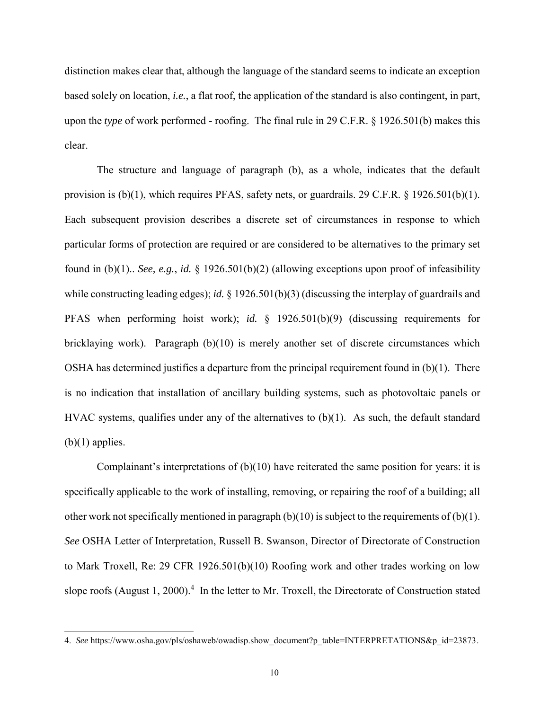distinction makes clear that, although the language of the standard seems to indicate an exception based solely on location, *i.e.*, a flat roof, the application of the standard is also contingent, in part, upon the *type* of work performed - roofing. The final rule in 29 C.F.R. § 1926.501(b) makes this clear.

The structure and language of paragraph (b), as a whole, indicates that the default provision is (b)(1), which requires PFAS, safety nets, or guardrails. 29 C.F.R. § 1926.501(b)(1). Each subsequent provision describes a discrete set of circumstances in response to which particular forms of protection are required or are considered to be alternatives to the primary set found in (b)(1).. *See, e.g.*, *id.* § 1926.501(b)(2) (allowing exceptions upon proof of infeasibility while constructing leading edges); *id.* § 1926.501(b)(3) (discussing the interplay of guardrails and PFAS when performing hoist work); *id.* § 1926.501(b)(9) (discussing requirements for bricklaying work). Paragraph (b)(10) is merely another set of discrete circumstances which OSHA has determined justifies a departure from the principal requirement found in (b)(1). There is no indication that installation of ancillary building systems, such as photovoltaic panels or HVAC systems, qualifies under any of the alternatives to  $(b)(1)$ . As such, the default standard  $(b)(1)$  applies.

Complainant's interpretations of (b)(10) have reiterated the same position for years: it is specifically applicable to the work of installing, removing, or repairing the roof of a building; all other work not specifically mentioned in paragraph  $(b)(10)$  is subject to the requirements of  $(b)(1)$ . *See* OSHA Letter of Interpretation, Russell B. Swanson, Director of Directorate of Construction to Mark Troxell, Re: 29 CFR 1926.501(b)(10) Roofing work and other trades working on low slope roofs (August 1, 2000).<sup>4</sup> In the letter to Mr. Troxell, the Directorate of Construction stated

<sup>4.</sup> *See* https://www.osha.gov/pls/oshaweb/owadisp.show\_document?p\_table=INTERPRETATIONS&p\_id=23873.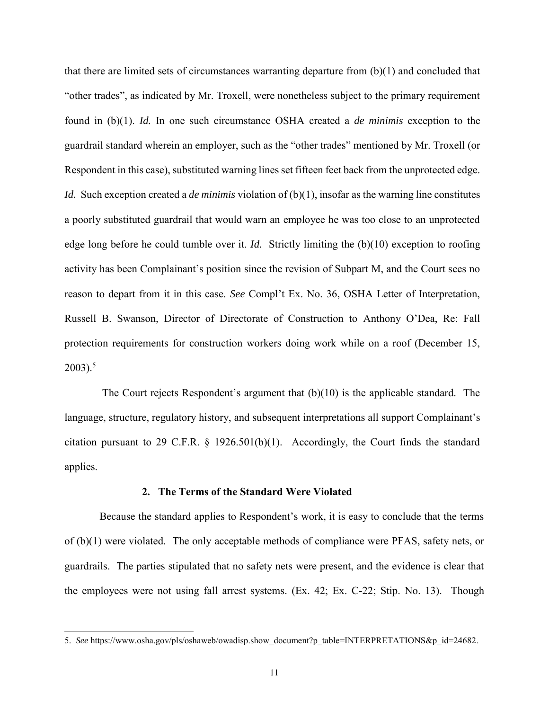that there are limited sets of circumstances warranting departure from (b)(1) and concluded that "other trades", as indicated by Mr. Troxell, were nonetheless subject to the primary requirement found in (b)(1). *Id.* In one such circumstance OSHA created a *de minimis* exception to the guardrail standard wherein an employer, such as the "other trades" mentioned by Mr. Troxell (or Respondent in this case), substituted warning lines set fifteen feet back from the unprotected edge. *Id.* Such exception created a *de minimis* violation of (b)(1), insofar as the warning line constitutes a poorly substituted guardrail that would warn an employee he was too close to an unprotected edge long before he could tumble over it. *Id.* Strictly limiting the (b)(10) exception to roofing activity has been Complainant's position since the revision of Subpart M, and the Court sees no reason to depart from it in this case. *See* Compl't Ex. No. 36, OSHA Letter of Interpretation, Russell B. Swanson, Director of Directorate of Construction to Anthony O'Dea, Re: Fall protection requirements for construction workers doing work while on a roof (December 15,  $2003$ ).<sup>5</sup>

The Court rejects Respondent's argument that (b)(10) is the applicable standard. The language, structure, regulatory history, and subsequent interpretations all support Complainant's citation pursuant to 29 C.F.R. § 1926.501(b)(1). Accordingly, the Court finds the standard applies.

### **2. The Terms of the Standard Were Violated**

Because the standard applies to Respondent's work, it is easy to conclude that the terms of (b)(1) were violated. The only acceptable methods of compliance were PFAS, safety nets, or guardrails. The parties stipulated that no safety nets were present, and the evidence is clear that the employees were not using fall arrest systems. (Ex. 42; Ex. C-22; Stip. No. 13). Though

<sup>5.</sup> See https://www.osha.gov/pls/oshaweb/owadisp.show\_document?p\_table=INTERPRETATIONS&p\_id=24682.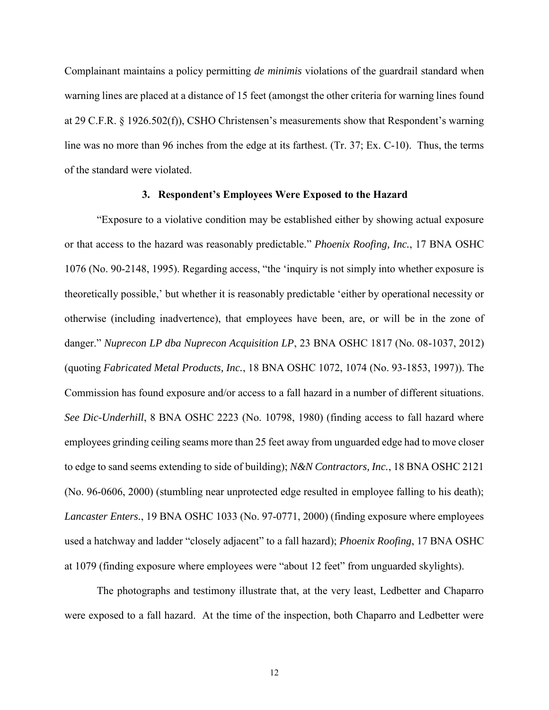Complainant maintains a policy permitting *de minimis* violations of the guardrail standard when warning lines are placed at a distance of 15 feet (amongst the other criteria for warning lines found at 29 C.F.R. § 1926.502(f)), CSHO Christensen's measurements show that Respondent's warning line was no more than 96 inches from the edge at its farthest. (Tr. 37; Ex. C-10). Thus, the terms of the standard were violated.

### **3. Respondent's Employees Were Exposed to the Hazard**

"Exposure to a violative condition may be established either by showing actual exposure or that access to the hazard was reasonably predictable." *Phoenix Roofing, Inc.*, 17 BNA OSHC 1076 (No. 90-2148, 1995). Regarding access, "the 'inquiry is not simply into whether exposure is theoretically possible,' but whether it is reasonably predictable 'either by operational necessity or otherwise (including inadvertence), that employees have been, are, or will be in the zone of danger." *Nuprecon LP dba Nuprecon Acquisition LP*, 23 BNA OSHC 1817 (No. 08-1037, 2012) (quoting *Fabricated Metal Products, Inc.*, 18 BNA OSHC 1072, 1074 (No. 93-1853, 1997)). The Commission has found exposure and/or access to a fall hazard in a number of different situations. *See Dic-Underhill*, 8 BNA OSHC 2223 (No. 10798, 1980) (finding access to fall hazard where employees grinding ceiling seams more than 25 feet away from unguarded edge had to move closer to edge to sand seems extending to side of building); *N&N Contractors, Inc.*, 18 BNA OSHC 2121 (No. 96-0606, 2000) (stumbling near unprotected edge resulted in employee falling to his death); *Lancaster Enters.*, 19 BNA OSHC 1033 (No. 97-0771, 2000) (finding exposure where employees used a hatchway and ladder "closely adjacent" to a fall hazard); *Phoenix Roofing*, 17 BNA OSHC at 1079 (finding exposure where employees were "about 12 feet" from unguarded skylights).

The photographs and testimony illustrate that, at the very least, Ledbetter and Chaparro were exposed to a fall hazard. At the time of the inspection, both Chaparro and Ledbetter were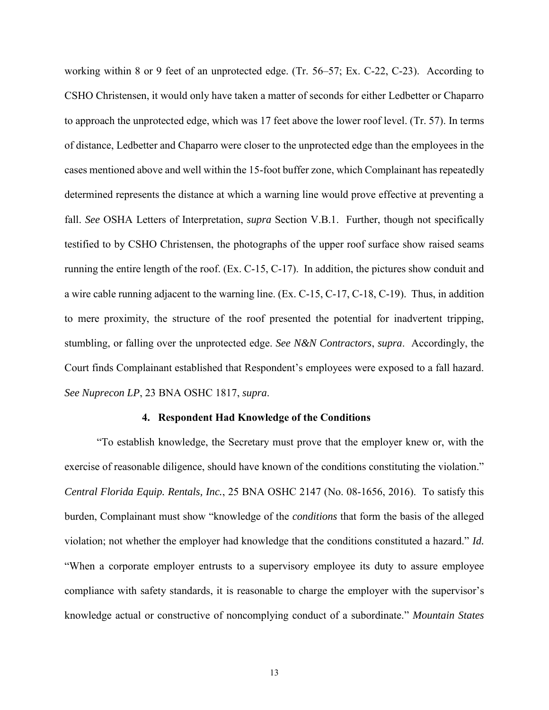working within 8 or 9 feet of an unprotected edge. (Tr. 56–57; Ex. C-22, C-23). According to CSHO Christensen, it would only have taken a matter of seconds for either Ledbetter or Chaparro to approach the unprotected edge, which was 17 feet above the lower roof level. (Tr. 57). In terms of distance, Ledbetter and Chaparro were closer to the unprotected edge than the employees in the cases mentioned above and well within the 15-foot buffer zone, which Complainant has repeatedly determined represents the distance at which a warning line would prove effective at preventing a fall. *See* OSHA Letters of Interpretation, *supra* Section V.B.1. Further, though not specifically testified to by CSHO Christensen, the photographs of the upper roof surface show raised seams running the entire length of the roof. (Ex. C-15, C-17). In addition, the pictures show conduit and a wire cable running adjacent to the warning line. (Ex. C-15, C-17, C-18, C-19). Thus, in addition to mere proximity, the structure of the roof presented the potential for inadvertent tripping, stumbling, or falling over the unprotected edge. *See N&N Contractors*, *supra*. Accordingly, the Court finds Complainant established that Respondent's employees were exposed to a fall hazard. *See Nuprecon LP*, 23 BNA OSHC 1817, *supra*.

### **4. Respondent Had Knowledge of the Conditions**

"To establish knowledge, the Secretary must prove that the employer knew or, with the exercise of reasonable diligence, should have known of the conditions constituting the violation." *Central Florida Equip. Rentals, Inc.*, 25 BNA OSHC 2147 (No. 08-1656, 2016). To satisfy this burden, Complainant must show "knowledge of the *conditions* that form the basis of the alleged violation; not whether the employer had knowledge that the conditions constituted a hazard." *Id.* "When a corporate employer entrusts to a supervisory employee its duty to assure employee compliance with safety standards, it is reasonable to charge the employer with the supervisor's knowledge actual or constructive of noncomplying conduct of a subordinate." *Mountain States*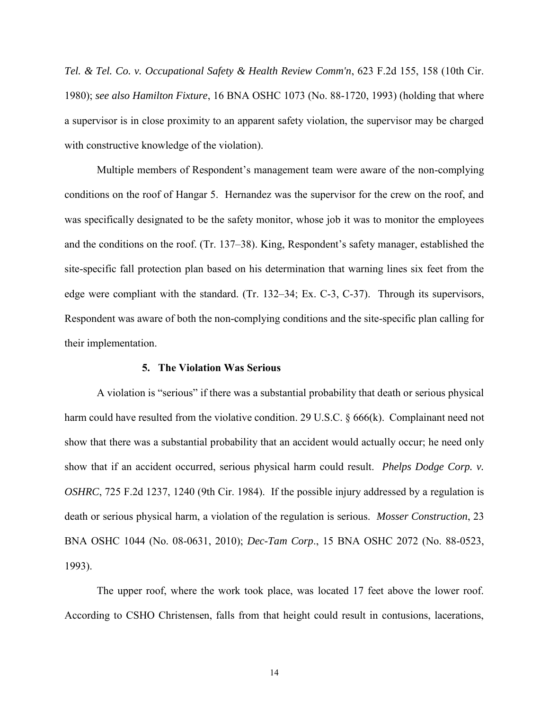*Tel. & Tel. Co. v. Occupational Safety & Health Review Comm'n*, 623 F.2d 155, 158 (10th Cir. 1980); *see also Hamilton Fixture*, 16 BNA OSHC 1073 (No. 88-1720, 1993) (holding that where a supervisor is in close proximity to an apparent safety violation, the supervisor may be charged with constructive knowledge of the violation).

Multiple members of Respondent's management team were aware of the non-complying conditions on the roof of Hangar 5. Hernandez was the supervisor for the crew on the roof, and was specifically designated to be the safety monitor, whose job it was to monitor the employees and the conditions on the roof. (Tr. 137–38). King, Respondent's safety manager, established the site-specific fall protection plan based on his determination that warning lines six feet from the edge were compliant with the standard. (Tr. 132–34; Ex. C-3, C-37). Through its supervisors, Respondent was aware of both the non-complying conditions and the site-specific plan calling for their implementation.

## **5. The Violation Was Serious**

A violation is "serious" if there was a substantial probability that death or serious physical harm could have resulted from the violative condition. 29 U.S.C. § 666(k). Complainant need not show that there was a substantial probability that an accident would actually occur; he need only show that if an accident occurred, serious physical harm could result. *Phelps Dodge Corp. v. OSHRC*, 725 F.2d 1237, 1240 (9th Cir. 1984). If the possible injury addressed by a regulation is death or serious physical harm, a violation of the regulation is serious. *Mosser Construction*, 23 BNA OSHC 1044 (No. 08-0631, 2010); *Dec-Tam Corp*., 15 BNA OSHC 2072 (No. 88-0523, 1993).

The upper roof, where the work took place, was located 17 feet above the lower roof. According to CSHO Christensen, falls from that height could result in contusions, lacerations,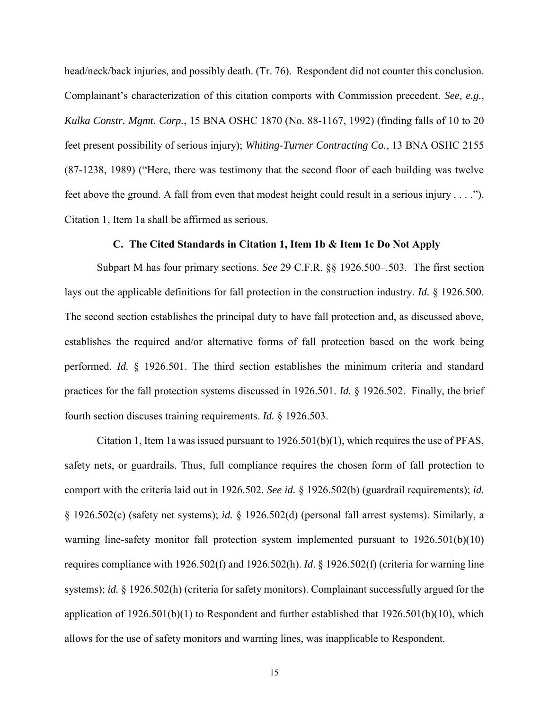head/neck/back injuries, and possibly death. (Tr. 76). Respondent did not counter this conclusion. Complainant's characterization of this citation comports with Commission precedent. *See, e.g.*, *Kulka Constr. Mgmt. Corp.*, 15 BNA OSHC 1870 (No. 88-1167, 1992) (finding falls of 10 to 20 feet present possibility of serious injury); *Whiting-Turner Contracting Co.*, 13 BNA OSHC 2155 (87-1238, 1989) ("Here, there was testimony that the second floor of each building was twelve feet above the ground. A fall from even that modest height could result in a serious injury . . . ."). Citation 1, Item 1a shall be affirmed as serious.

## **C. The Cited Standards in Citation 1, Item 1b & Item 1c Do Not Apply**

Subpart M has four primary sections. *See* 29 C.F.R. §§ 1926.500–.503. The first section lays out the applicable definitions for fall protection in the construction industry. *Id.* § 1926.500. The second section establishes the principal duty to have fall protection and, as discussed above, establishes the required and/or alternative forms of fall protection based on the work being performed. *Id.* § 1926.501. The third section establishes the minimum criteria and standard practices for the fall protection systems discussed in 1926.501. *Id.* § 1926.502. Finally, the brief fourth section discuses training requirements. *Id.* § 1926.503.

Citation 1, Item 1a was issued pursuant to  $1926.501(b)(1)$ , which requires the use of PFAS, safety nets, or guardrails. Thus, full compliance requires the chosen form of fall protection to comport with the criteria laid out in 1926.502. *See id.* § 1926.502(b) (guardrail requirements); *id.*  § 1926.502(c) (safety net systems); *id.* § 1926.502(d) (personal fall arrest systems). Similarly, a warning line-safety monitor fall protection system implemented pursuant to 1926.501(b)(10) requires compliance with 1926.502(f) and 1926.502(h). *Id*. § 1926.502(f) (criteria for warning line systems); *id.* § 1926.502(h) (criteria for safety monitors). Complainant successfully argued for the application of 1926.501(b)(1) to Respondent and further established that 1926.501(b)(10), which allows for the use of safety monitors and warning lines, was inapplicable to Respondent.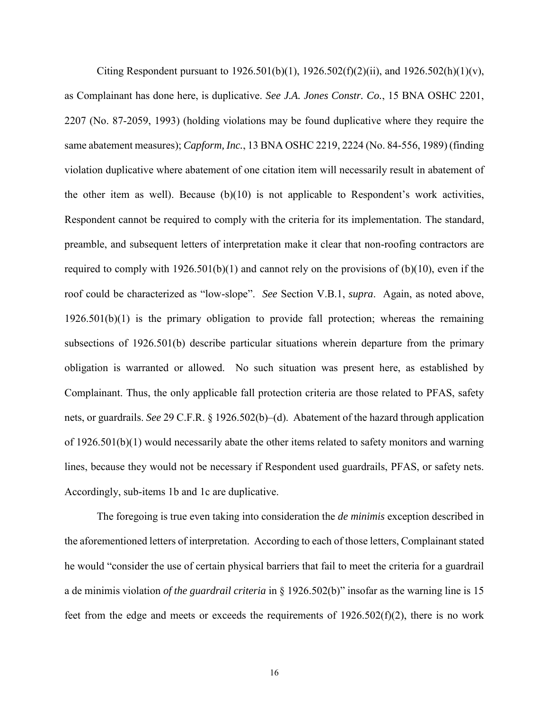Citing Respondent pursuant to  $1926.501(b)(1)$ ,  $1926.502(f)(2)(ii)$ , and  $1926.502(h)(1)(v)$ , as Complainant has done here, is duplicative. *See J.A. Jones Constr. Co.*, 15 BNA OSHC 2201, 2207 (No. 87-2059, 1993) (holding violations may be found duplicative where they require the same abatement measures); *Capform, Inc.*, 13 BNA OSHC 2219, 2224 (No. 84-556, 1989) (finding violation duplicative where abatement of one citation item will necessarily result in abatement of the other item as well). Because (b)(10) is not applicable to Respondent's work activities, Respondent cannot be required to comply with the criteria for its implementation. The standard, preamble, and subsequent letters of interpretation make it clear that non-roofing contractors are required to comply with  $1926.501(b)(1)$  and cannot rely on the provisions of  $(b)(10)$ , even if the roof could be characterized as "low-slope". *See* Section V.B.1, *supra*. Again, as noted above, 1926.501(b)(1) is the primary obligation to provide fall protection; whereas the remaining subsections of 1926.501(b) describe particular situations wherein departure from the primary obligation is warranted or allowed. No such situation was present here, as established by Complainant. Thus, the only applicable fall protection criteria are those related to PFAS, safety nets, or guardrails. *See* 29 C.F.R. § 1926.502(b)–(d). Abatement of the hazard through application of 1926.501(b)(1) would necessarily abate the other items related to safety monitors and warning lines, because they would not be necessary if Respondent used guardrails, PFAS, or safety nets. Accordingly, sub-items 1b and 1c are duplicative.

The foregoing is true even taking into consideration the *de minimis* exception described in the aforementioned letters of interpretation. According to each of those letters, Complainant stated he would "consider the use of certain physical barriers that fail to meet the criteria for a guardrail a de minimis violation *of the guardrail criteria* in § 1926.502(b)" insofar as the warning line is 15 feet from the edge and meets or exceeds the requirements of  $1926.502(f)(2)$ , there is no work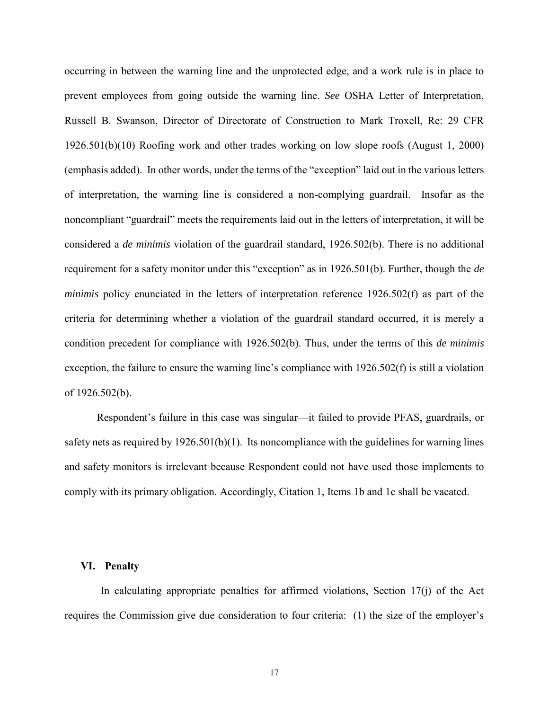occurring in between the warning line and the unprotected edge, and a work rule is in place to prevent employees from going outside the warning line. *See* OSHA Letter of Interpretation, Russell B. Swanson, Director of Directorate of Construction to Mark Troxell, Re: 29 CFR 1926.501(b)(10) Roofing work and other trades working on low slope roofs (August 1, 2000) (emphasis added). In other words, under the terms of the "exception" laid out in the various letters of interpretation, the warning line is considered a non-complying guardrail. Insofar as the noncompliant "guardrail" meets the requirements laid out in the letters of interpretation, it will be considered a *de minimis* violation of the guardrail standard, 1926.502(b). There is no additional requirement for a safety monitor under this "exception" as in 1926.501(b). Further, though the *de minimis* policy enunciated in the letters of interpretation reference 1926.502(f) as part of the criteria for determining whether a violation of the guardrail standard occurred, it is merely a condition precedent for compliance with 1926.502(b). Thus, under the terms of this *de minimis*  exception, the failure to ensure the warning line's compliance with 1926.502(f) is still a violation of 1926.502(b).

Respondent's failure in this case was singular—it failed to provide PFAS, guardrails, or safety nets as required by 1926.501(b)(1). Its noncompliance with the guidelines for warning lines and safety monitors is irrelevant because Respondent could not have used those implements to comply with its primary obligation. Accordingly, Citation 1, Items 1b and 1c shall be vacated.

#### **VI. Penalty**

In calculating appropriate penalties for affirmed violations, Section  $17(i)$  of the Act requires the Commission give due consideration to four criteria: (1) the size of the employer's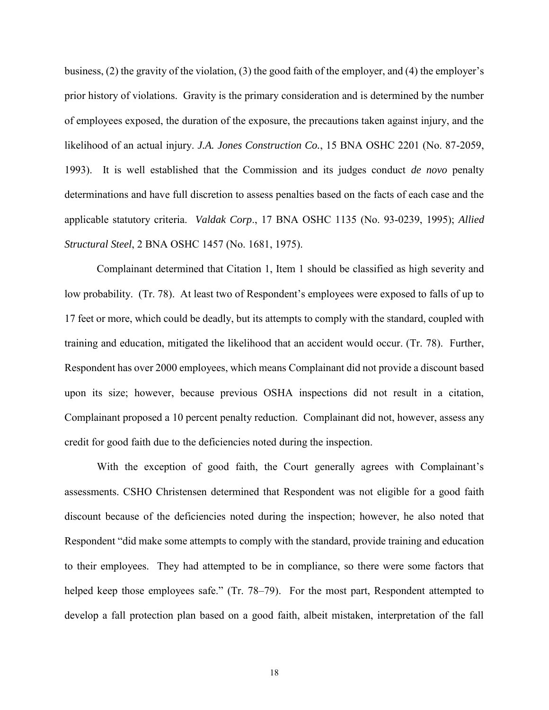business, (2) the gravity of the violation, (3) the good faith of the employer, and (4) the employer's prior history of violations. Gravity is the primary consideration and is determined by the number of employees exposed, the duration of the exposure, the precautions taken against injury, and the likelihood of an actual injury. *J.A. Jones Construction Co.*, 15 BNA OSHC 2201 (No. 87-2059, 1993). It is well established that the Commission and its judges conduct *de novo* penalty determinations and have full discretion to assess penalties based on the facts of each case and the applicable statutory criteria. *Valdak Corp*., 17 BNA OSHC 1135 (No. 93-0239, 1995); *Allied Structural Steel*, 2 BNA OSHC 1457 (No. 1681, 1975).

Complainant determined that Citation 1, Item 1 should be classified as high severity and low probability. (Tr. 78). At least two of Respondent's employees were exposed to falls of up to 17 feet or more, which could be deadly, but its attempts to comply with the standard, coupled with training and education, mitigated the likelihood that an accident would occur. (Tr. 78). Further, Respondent has over 2000 employees, which means Complainant did not provide a discount based upon its size; however, because previous OSHA inspections did not result in a citation, Complainant proposed a 10 percent penalty reduction. Complainant did not, however, assess any credit for good faith due to the deficiencies noted during the inspection.

With the exception of good faith, the Court generally agrees with Complainant's assessments. CSHO Christensen determined that Respondent was not eligible for a good faith discount because of the deficiencies noted during the inspection; however, he also noted that Respondent "did make some attempts to comply with the standard, provide training and education to their employees. They had attempted to be in compliance, so there were some factors that helped keep those employees safe." (Tr. 78–79). For the most part, Respondent attempted to develop a fall protection plan based on a good faith, albeit mistaken, interpretation of the fall